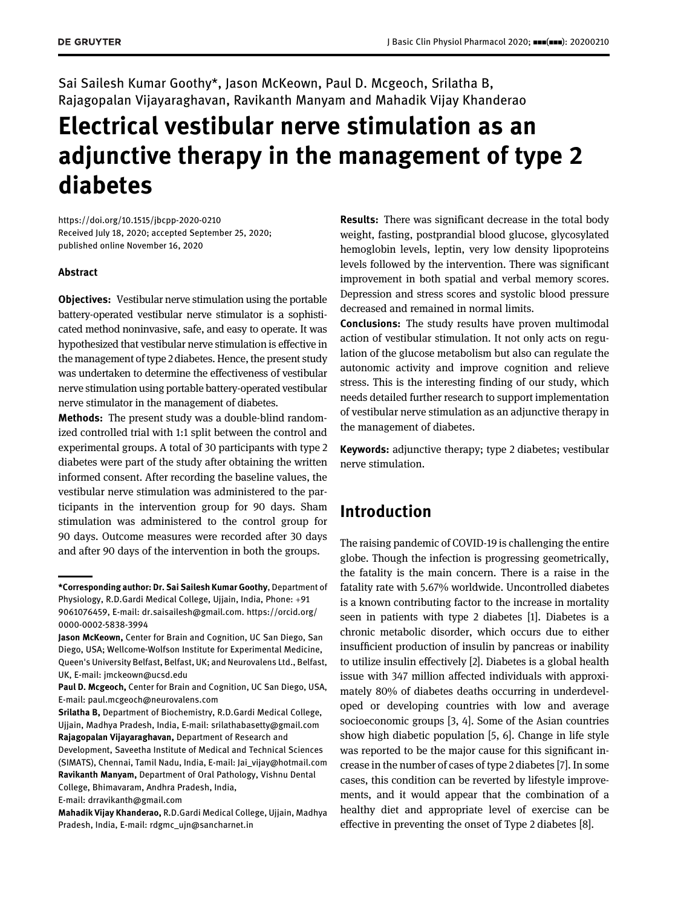Sai Sailesh Kumar Goothy\*, Jason McKeown, Paul D. Mcgeoch, Srilatha B, Rajagopalan Vijayaraghavan, Ravikanth Manyam and Mahadik Vijay Khanderao

# Electrical vestibular nerve stimulation as an adjunctive therapy in the management of type 2 diabetes

<https://doi.org/10.1515/jbcpp-2020-0210> Received July 18, 2020; accepted September 25, 2020; published online November 16, 2020

#### Abstract

**Objectives:** Vestibular nerve stimulation using the portable battery-operated vestibular nerve stimulator is a sophisticated method noninvasive, safe, and easy to operate. It was hypothesized that vestibular nerve stimulation is effective in the management of type 2 diabetes. Hence, the present study was undertaken to determine the effectiveness of vestibular nerve stimulation using portable battery-operated vestibular nerve stimulator in the management of diabetes.

Methods: The present study was a double-blind randomized controlled trial with 1:1 split between the control and experimental groups. A total of 30 participants with type 2 diabetes were part of the study after obtaining the written informed consent. After recording the baseline values, the vestibular nerve stimulation was administered to the participants in the intervention group for 90 days. Sham stimulation was administered to the control group for 90 days. Outcome measures were recorded after 30 days and after 90 days of the intervention in both the groups.

E-mail: [drravikanth@gmail.com](mailto:drravikanth@gmail.com)

Results: There was significant decrease in the total body weight, fasting, postprandial blood glucose, glycosylated hemoglobin levels, leptin, very low density lipoproteins levels followed by the intervention. There was significant improvement in both spatial and verbal memory scores. Depression and stress scores and systolic blood pressure decreased and remained in normal limits.

Conclusions: The study results have proven multimodal action of vestibular stimulation. It not only acts on regulation of the glucose metabolism but also can regulate the autonomic activity and improve cognition and relieve stress. This is the interesting finding of our study, which needs detailed further research to support implementation of vestibular nerve stimulation as an adjunctive therapy in the management of diabetes.

Keywords: adjunctive therapy; type 2 diabetes; vestibular nerve stimulation.

### Introduction

The raising pandemic of COVID-19 is challenging the entire globe. Though the infection is progressing geometrically, the fatality is the main concern. There is a raise in the fatality rate with 5.67% worldwide. Uncontrolled diabetes is a known contributing factor to the increase in mortality seen in patients with type 2 diabetes [\[1\]](#page-6-0). Diabetes is a chronic metabolic disorder, which occurs due to either insufficient production of insulin by pancreas or inability to utilize insulin effectively [\[2](#page-6-1)]. Diabetes is a global health issue with 347 million affected individuals with approximately 80% of diabetes deaths occurring in underdeveloped or developing countries with low and average socioeconomic groups [\[3, 4](#page-6-2)]. Some of the Asian countries show high diabetic population [[5, 6\]](#page-6-3). Change in life style was reported to be the major cause for this significant increase in the number of cases of type 2 diabetes [[7](#page-6-4)]. In some cases, this condition can be reverted by lifestyle improvements, and it would appear that the combination of a healthy diet and appropriate level of exercise can be effective in preventing the onset of Type 2 diabetes [\[8](#page-6-5)].

<sup>\*</sup>Corresponding author: Dr. Sai Sailesh Kumar Goothy, Department of Physiology, R.D.Gardi Medical College, Ujjain, India, Phone: +91 9061076459, E-mail: [dr.saisailesh@gmail.com](mailto:dr.saisailesh@gmail.com). [https://orcid.org/](https://orcid.org/0000-0002-5838-3994) [0000-0002-5838-3994](https://orcid.org/0000-0002-5838-3994)

Jason McKeown, Center for Brain and Cognition, UC San Diego, San Diego, USA; Wellcome-Wolfson Institute for Experimental Medicine, Queen's University Belfast, Belfast, UK; and Neurovalens Ltd., Belfast, UK, E-mail: [jmckeown@ucsd.edu](mailto:jmckeown@ucsd.edu)

Paul D. Mcgeoch, Center for Brain and Cognition, UC San Diego, USA, E-mail: [paul.mcgeoch@neurovalens.com](mailto:paul.mcgeoch@neurovalens.com)

Srilatha B, Department of Biochemistry, R.D.Gardi Medical College, Ujjain, Madhya Pradesh, India, E-mail: [srilathabasetty@gmail.com](mailto:srilathabasetty@gmail.com) Rajagopalan Vijayaraghavan, Department of Research and

Development, Saveetha Institute of Medical and Technical Sciences (SIMATS), Chennai, Tamil Nadu, India, E-mail: [Jai\\_vijay@hotmail.com](mailto:Jai_vijay@hotmail.com) Ravikanth Manyam, Department of Oral Pathology, Vishnu Dental College, Bhimavaram, Andhra Pradesh, India,

Mahadik Vijay Khanderao, R.D.Gardi Medical College, Ujjain, Madhya Pradesh, India, E-mail: [rdgmc\\_ujn@sancharnet.in](mailto:rdgmc_ujn@sancharnet.in)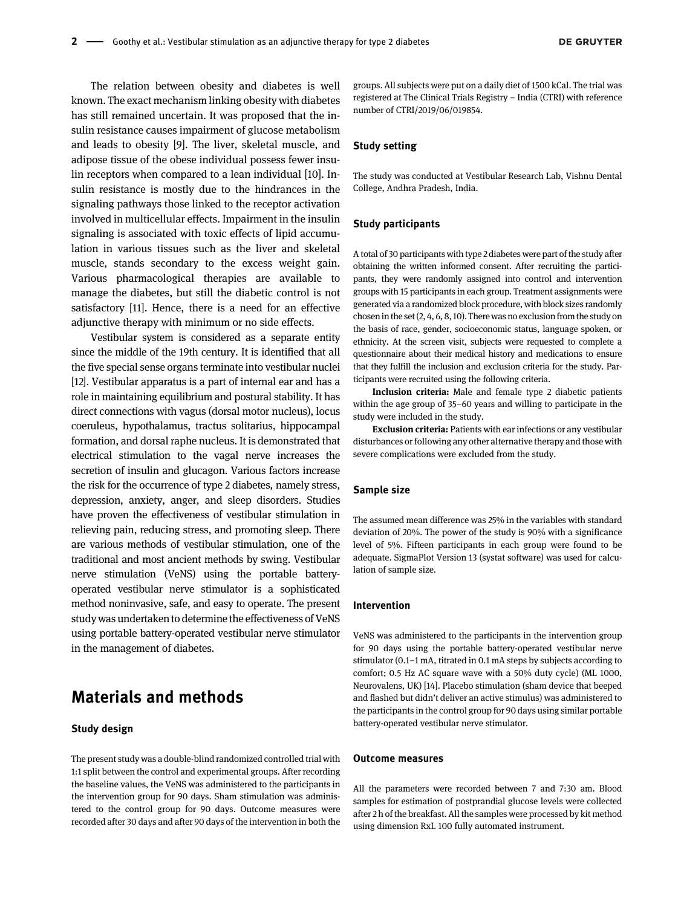The relation between obesity and diabetes is well known. The exact mechanism linking obesity with diabetes has still remained uncertain. It was proposed that the insulin resistance causes impairment of glucose metabolism and leads to obesity [\[9](#page-6-6)]. The liver, skeletal muscle, and adipose tissue of the obese individual possess fewer insulin receptors when compared to a lean individual [\[10](#page-6-7)]. Insulin resistance is mostly due to the hindrances in the signaling pathways those linked to the receptor activation involved in multicellular effects. Impairment in the insulin signaling is associated with toxic effects of lipid accumulation in various tissues such as the liver and skeletal muscle, stands secondary to the excess weight gain. Various pharmacological therapies are available to manage the diabetes, but still the diabetic control is not satisfactory [[11\]](#page-6-8). Hence, there is a need for an effective adjunctive therapy with minimum or no side effects.

Vestibular system is considered as a separate entity since the middle of the 19th century. It is identified that all the five special sense organs terminate into vestibular nuclei [\[12\]](#page-6-9). Vestibular apparatus is a part of internal ear and has a role in maintaining equilibrium and postural stability. It has direct connections with vagus (dorsal motor nucleus), locus coeruleus, hypothalamus, tractus solitarius, hippocampal formation, and dorsal raphe nucleus. It is demonstrated that electrical stimulation to the vagal nerve increases the secretion of insulin and glucagon. Various factors increase the risk for the occurrence of type 2 diabetes, namely stress, depression, anxiety, anger, and sleep disorders. Studies have proven the effectiveness of vestibular stimulation in relieving pain, reducing stress, and promoting sleep. There are various methods of vestibular stimulation, one of the traditional and most ancient methods by swing. Vestibular nerve stimulation (VeNS) using the portable batteryoperated vestibular nerve stimulator is a sophisticated method noninvasive, safe, and easy to operate. The present study was undertaken to determine the effectiveness of VeNS using portable battery-operated vestibular nerve stimulator in the management of diabetes.

# Materials and methods

#### Study design

The present study was a double-blind randomized controlled trial with 1:1 split between the control and experimental groups. After recording the baseline values, the VeNS was administered to the participants in the intervention group for 90 days. Sham stimulation was administered to the control group for 90 days. Outcome measures were recorded after 30 days and after 90 days of the intervention in both the

groups. All subjects were put on a daily diet of 1500 kCal. The trial was registered at The Clinical Trials Registry – India (CTRI) with reference number of CTRI/2019/06/019854.

#### Study setting

The study was conducted at Vestibular Research Lab, Vishnu Dental College, Andhra Pradesh, India.

#### Study participants

A total of 30 participants with type 2 diabetes were part of the study after obtaining the written informed consent. After recruiting the participants, they were randomly assigned into control and intervention groups with 15 participants in each group. Treatment assignments were generated via a randomized block procedure, with block sizes randomly chosen in the set (2, 4, 6, 8, 10). There was no exclusion from the study on the basis of race, gender, socioeconomic status, language spoken, or ethnicity. At the screen visit, subjects were requested to complete a questionnaire about their medical history and medications to ensure that they fulfill the inclusion and exclusion criteria for the study. Participants were recruited using the following criteria.

Inclusion criteria: Male and female type 2 diabetic patients within the age group of 35–60 years and willing to participate in the study were included in the study.

Exclusion criteria: Patients with ear infections or any vestibular disturbances or following any other alternative therapy and those with severe complications were excluded from the study.

#### Sample size

The assumed mean difference was 25% in the variables with standard deviation of 20%. The power of the study is 90% with a significance level of 5%. Fifteen participants in each group were found to be adequate. SigmaPlot Version 13 (systat software) was used for calculation of sample size.

#### Intervention

VeNS was administered to the participants in the intervention group for 90 days using the portable battery-operated vestibular nerve stimulator (0.1–1 mA, titrated in 0.1 mA steps by subjects according to comfort; 0.5 Hz AC square wave with a 50% duty cycle) (ML 1000, Neurovalens, UK) [\[14\]](#page-6-10). Placebo stimulation (sham device that beeped and flashed but didn't deliver an active stimulus) was administered to the participants in the control group for 90 days using similar portable battery-operated vestibular nerve stimulator.

#### Outcome measures

All the parameters were recorded between 7 and 7:30 am. Blood samples for estimation of postprandial glucose levels were collected after 2 h of the breakfast. All the samples were processed by kit method using dimension RxL 100 fully automated instrument.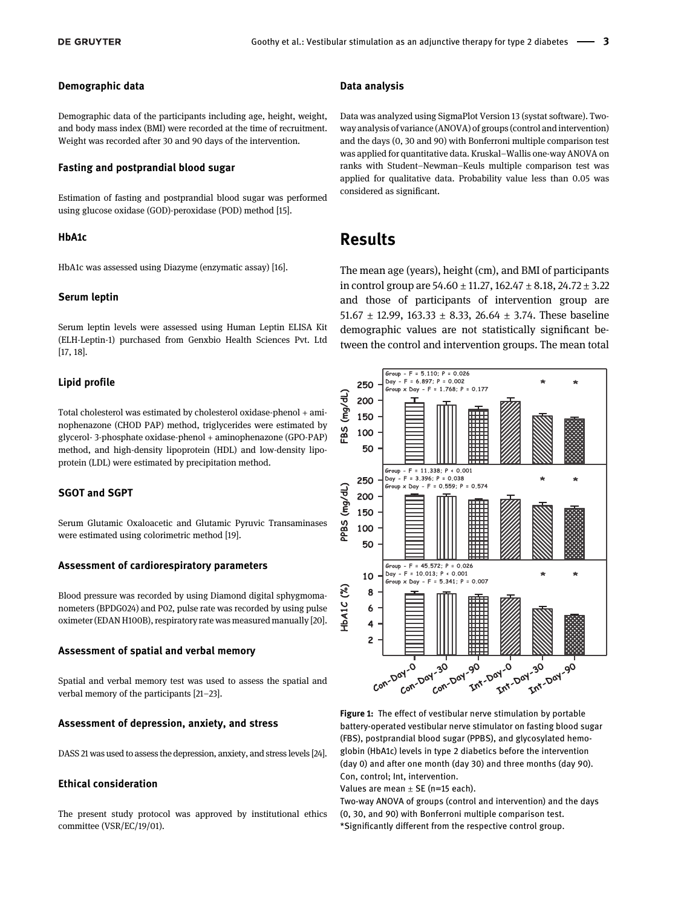#### Demographic data

Demographic data of the participants including age, height, weight, and body mass index (BMI) were recorded at the time of recruitment. Weight was recorded after 30 and 90 days of the intervention.

#### Fasting and postprandial blood sugar

Estimation of fasting and postprandial blood sugar was performed using glucose oxidase (GOD)-peroxidase (POD) method [\[15](#page-6-11)].

#### HbA1c

HbA1c was assessed using Diazyme (enzymatic assay) [\[16](#page-6-12)].

#### Serum leptin

Serum leptin levels were assessed using Human Leptin ELISA Kit (ELH-Leptin-1) purchased from Genxbio Health Sciences Pvt. Ltd [\[17, 18](#page-6-13)].

#### Lipid profile

Total cholesterol was estimated by cholesterol oxidase-phenol + aminophenazone (CHOD PAP) method, triglycerides were estimated by glycerol- 3-phosphate oxidase-phenol + aminophenazone (GPO-PAP) method, and high-density lipoprotein (HDL) and low-density lipoprotein (LDL) were estimated by precipitation method.

#### SGOT and SGPT

Serum Glutamic Oxaloacetic and Glutamic Pyruvic Transaminases were estimated using colorimetric method [\[19\]](#page-6-14).

#### Assessment of cardiorespiratory parameters

Blood pressure was recorded by using Diamond digital sphygmomanometers (BPDG024) and P02, pulse rate was recorded by using pulse oximeter (EDAN H100B), respiratory rate was measured manually [[20\]](#page-6-15).

#### Assessment of spatial and verbal memory

Spatial and verbal memory test was used to assess the spatial and verbal memory of the participants [21–[23](#page-6-16)].

#### Assessment of depression, anxiety, and stress

DASS 21 was used to assess the depression, anxiety, and stress levels [[24\]](#page-7-0).

#### Ethical consideration

The present study protocol was approved by institutional ethics committee (VSR/EC/19/01).

#### Data analysis

Data was analyzed using SigmaPlot Version 13 (systat software). Twoway analysis of variance (ANOVA) of groups (control and intervention) and the days (0, 30 and 90) with Bonferroni multiple comparison test was applied for quantitative data. Kruskal–Wallis one-way ANOVA on ranks with Student–Newman–Keuls multiple comparison test was applied for qualitative data. Probability value less than 0.05 was considered as significant.

### Results

The mean age (years), height (cm), and BMI of participants in control group are  $54.60 \pm 11.27$ ,  $162.47 \pm 8.18$ ,  $24.72 \pm 3.22$ and those of participants of intervention group are 51.67  $\pm$  12.99, 163.33  $\pm$  8.33, 26.64  $\pm$  3.74. These baseline demographic values are not statistically significant between the control and intervention groups. The mean total



<span id="page-2-0"></span>Figure 1: The effect of vestibular nerve stimulation by portable battery-operated vestibular nerve stimulator on fasting blood sugar (FBS), postprandial blood sugar (PPBS), and glycosylated hemoglobin (HbA1c) levels in type 2 diabetics before the intervention (day 0) and after one month (day 30) and three months (day 90). Con, control; Int, intervention.

Values are mean  $\pm$  SE (n=15 each).

Two-way ANOVA of groups (control and intervention) and the days (0, 30, and 90) with Bonferroni multiple comparison test. \*Significantly different from the respective control group.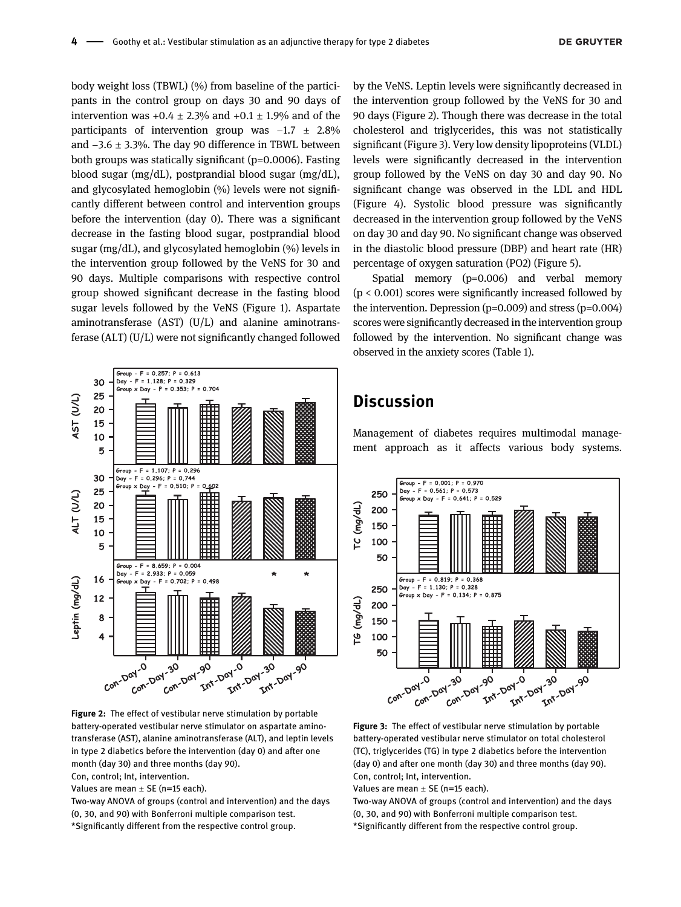body weight loss (TBWL) (%) from baseline of the participants in the control group on days 30 and 90 days of intervention was  $+0.4 \pm 2.3\%$  and  $+0.1 \pm 1.9\%$  and of the participants of intervention group was  $-1.7 \pm 2.8\%$ and −3.6 ± 3.3%. The day 90 difference in TBWL between both groups was statically significant (p=0.0006). Fasting blood sugar (mg/dL), postprandial blood sugar (mg/dL), and glycosylated hemoglobin (%) levels were not significantly different between control and intervention groups before the intervention (day 0). There was a significant decrease in the fasting blood sugar, postprandial blood sugar (mg/dL), and glycosylated hemoglobin (%) levels in the intervention group followed by the VeNS for 30 and 90 days. Multiple comparisons with respective control group showed significant decrease in the fasting blood sugar levels followed by the VeNS [\(Figure 1](#page-2-0)). Aspartate aminotransferase (AST) (U/L) and alanine aminotransferase (ALT) (U/L) were not significantly changed followed



<span id="page-3-0"></span>Figure 2: The effect of vestibular nerve stimulation by portable battery-operated vestibular nerve stimulator on aspartate aminotransferase (AST), alanine aminotransferase (ALT), and leptin levels in type 2 diabetics before the intervention (day 0) and after one month (day 30) and three months (day 90).

Con, control; Int, intervention.

Values are mean  $\pm$  SE (n=15 each).

Two-way ANOVA of groups (control and intervention) and the days (0, 30, and 90) with Bonferroni multiple comparison test. \*Significantly different from the respective control group.

by the VeNS. Leptin levels were significantly decreased in the intervention group followed by the VeNS for 30 and 90 days [\(Figure 2\)](#page-3-0). Though there was decrease in the total cholesterol and triglycerides, this was not statistically significant [\(Figure 3\)](#page-3-1). Very low density lipoproteins (VLDL) levels were significantly decreased in the intervention group followed by the VeNS on day 30 and day 90. No significant change was observed in the LDL and HDL [\(Figure 4\)](#page-4-0). Systolic blood pressure was significantly decreased in the intervention group followed by the VeNS on day 30 and day 90. No significant change was observed in the diastolic blood pressure (DBP) and heart rate (HR) percentage of oxygen saturation (PO2) [\(Figure 5\)](#page-4-1).

Spatial memory (p=0.006) and verbal memory  $(p < 0.001)$  scores were significantly increased followed by the intervention. Depression  $(p=0.009)$  and stress  $(p=0.004)$ scores were significantly decreased in the intervention group followed by the intervention. No significant change was observed in the anxiety scores [\(Table 1\)](#page-5-0).

### **Discussion**

Management of diabetes requires multimodal management approach as it affects various body systems.



<span id="page-3-1"></span>Figure 3: The effect of vestibular nerve stimulation by portable battery-operated vestibular nerve stimulator on total cholesterol (TC), triglycerides (TG) in type 2 diabetics before the intervention (day 0) and after one month (day 30) and three months (day 90). Con, control; Int, intervention.

Values are mean  $\pm$  SE (n=15 each).

Two-way ANOVA of groups (control and intervention) and the days (0, 30, and 90) with Bonferroni multiple comparison test. \*Significantly different from the respective control group.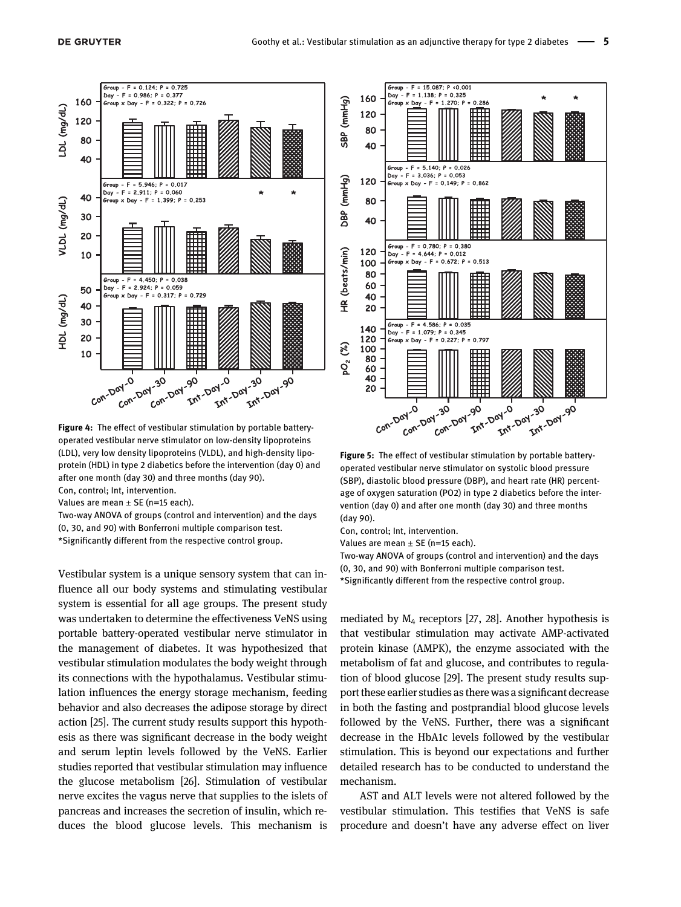

<span id="page-4-0"></span>Figure 4: The effect of vestibular stimulation by portable batteryoperated vestibular nerve stimulator on low-density lipoproteins (LDL), very low density lipoproteins (VLDL), and high-density lipoprotein (HDL) in type 2 diabetics before the intervention (day 0) and after one month (day 30) and three months (day 90).

Con, control; Int, intervention.

Values are mean  $\pm$  SE (n=15 each).

Two-way ANOVA of groups (control and intervention) and the days (0, 30, and 90) with Bonferroni multiple comparison test. \*Significantly different from the respective control group.

Vestibular system is a unique sensory system that can influence all our body systems and stimulating vestibular system is essential for all age groups. The present study was undertaken to determine the effectiveness VeNS using portable battery-operated vestibular nerve stimulator in the management of diabetes. It was hypothesized that vestibular stimulation modulates the body weight through its connections with the hypothalamus. Vestibular stimulation influences the energy storage mechanism, feeding behavior and also decreases the adipose storage by direct action [[25](#page-7-1)]. The current study results support this hypothesis as there was significant decrease in the body weight and serum leptin levels followed by the VeNS. Earlier studies reported that vestibular stimulation may influence the glucose metabolism [[26\]](#page-7-2). Stimulation of vestibular nerve excites the vagus nerve that supplies to the islets of pancreas and increases the secretion of insulin, which reduces the blood glucose levels. This mechanism is



<span id="page-4-1"></span>Figure 5: The effect of vestibular stimulation by portable batteryoperated vestibular nerve stimulator on systolic blood pressure (SBP), diastolic blood pressure (DBP), and heart rate (HR) percentage of oxygen saturation (PO2) in type 2 diabetics before the intervention (day 0) and after one month (day 30) and three months (day 90).

Con, control; Int, intervention.

Values are mean  $\pm$  SE (n=15 each).

Two-way ANOVA of groups (control and intervention) and the days (0, 30, and 90) with Bonferroni multiple comparison test. \*Significantly different from the respective control group.

mediated by  $M_4$  receptors [\[27, 28\]](#page-7-3). Another hypothesis is that vestibular stimulation may activate AMP-activated protein kinase (AMPK), the enzyme associated with the metabolism of fat and glucose, and contributes to regulation of blood glucose [[29\]](#page-7-4). The present study results support these earlier studies as there was a significant decrease in both the fasting and postprandial blood glucose levels followed by the VeNS. Further, there was a significant decrease in the HbA1c levels followed by the vestibular stimulation. This is beyond our expectations and further detailed research has to be conducted to understand the mechanism.

AST and ALT levels were not altered followed by the vestibular stimulation. This testifies that VeNS is safe procedure and doesn't have any adverse effect on liver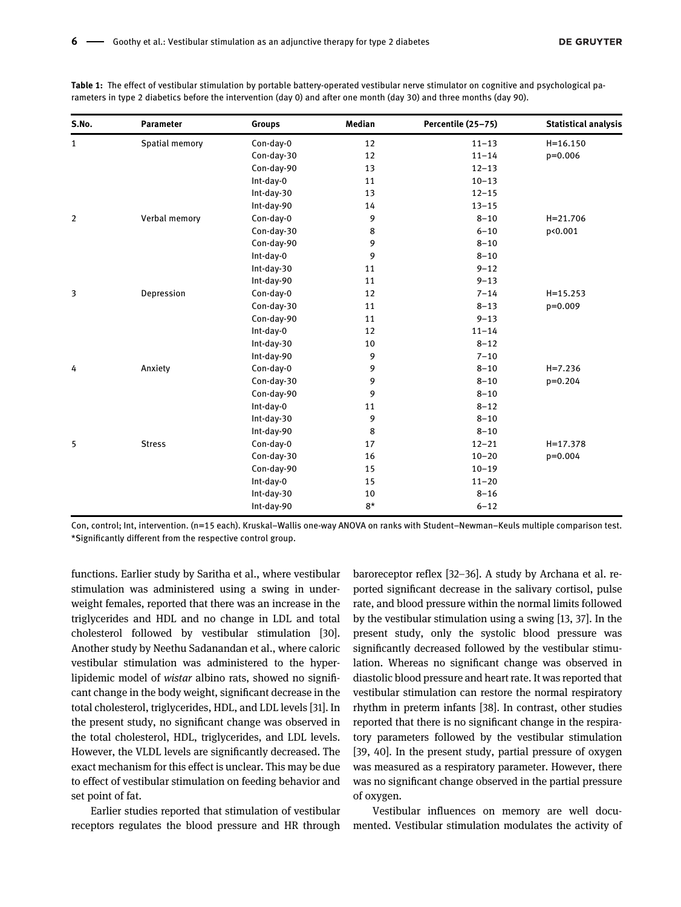| S.No.          | <b>Parameter</b> | <b>Groups</b> | Median | Percentile (25-75) | <b>Statistical analysis</b> |
|----------------|------------------|---------------|--------|--------------------|-----------------------------|
| 1              | Spatial memory   | Con-day-0     | 12     | $11 - 13$          | $H = 16.150$                |
|                |                  | Con-day-30    | 12     | $11 - 14$          | $p=0.006$                   |
|                |                  | Con-day-90    | 13     | $12 - 13$          |                             |
|                |                  | Int-day-0     | 11     | $10 - 13$          |                             |
|                |                  | Int-day-30    | 13     | $12 - 15$          |                             |
|                |                  | Int-day-90    | 14     | $13 - 15$          |                             |
| $\overline{2}$ | Verbal memory    | Con-day-0     | 9      | $8 - 10$           | $H = 21.706$                |
|                |                  | Con-day-30    | 8      | $6 - 10$           | p<0.001                     |
|                |                  | Con-day-90    | 9      | $8 - 10$           |                             |
|                |                  | Int-day-0     | 9      | $8 - 10$           |                             |
|                |                  | Int-day-30    | 11     | $9 - 12$           |                             |
|                |                  | Int-day-90    | 11     | $9 - 13$           |                             |
| 3              | Depression       | Con-day-0     | 12     | $7 - 14$           | $H = 15.253$                |
|                |                  | Con-day-30    | 11     | $8 - 13$           | $p=0.009$                   |
|                |                  | Con-day-90    | 11     | $9 - 13$           |                             |
|                |                  | Int-day-0     | 12     | $11 - 14$          |                             |
|                |                  | Int-day-30    | 10     | $8 - 12$           |                             |
|                |                  | Int-day-90    | 9      | $7 - 10$           |                             |
| 4              | Anxiety          | Con-day-0     | 9      | $8 - 10$           | $H = 7.236$                 |
|                |                  | Con-day-30    | 9      | $8 - 10$           | $p=0.204$                   |
|                |                  | Con-day-90    | 9      | $8 - 10$           |                             |
|                |                  | Int-day-0     | 11     | $8 - 12$           |                             |
|                |                  | Int-day-30    | 9      | $8 - 10$           |                             |
|                |                  | Int-day-90    | 8      | $8 - 10$           |                             |
| 5              | <b>Stress</b>    | Con-day-0     | 17     | $12 - 21$          | $H = 17.378$                |
|                |                  | Con-day-30    | 16     | $10 - 20$          | $p=0.004$                   |
|                |                  | Con-day-90    | 15     | $10 - 19$          |                             |
|                |                  | Int-day-0     | 15     | $11 - 20$          |                             |
|                |                  | Int-day-30    | 10     | $8 - 16$           |                             |
|                |                  | Int-day-90    | $8*$   | $6 - 12$           |                             |

<span id="page-5-0"></span>Table 1: The effect of vestibular stimulation by portable battery-operated vestibular nerve stimulator on cognitive and psychological parameters in type 2 diabetics before the intervention (day 0) and after one month (day 30) and three months (day 90).

Con, control; Int, intervention. (n=15 each). Kruskal–Wallis one-way ANOVA on ranks with Student–Newman–Keuls multiple comparison test. \*Significantly different from the respective control group.

functions. Earlier study by Saritha et al., where vestibular stimulation was administered using a swing in underweight females, reported that there was an increase in the triglycerides and HDL and no change in LDL and total cholesterol followed by vestibular stimulation [\[30](#page-7-5)]. Another study by Neethu Sadanandan et al., where caloric vestibular stimulation was administered to the hyperlipidemic model of wistar albino rats, showed no significant change in the body weight, significant decrease in the total cholesterol, triglycerides, HDL, and LDL levels [[31\]](#page-7-6). In the present study, no significant change was observed in the total cholesterol, HDL, triglycerides, and LDL levels. However, the VLDL levels are significantly decreased. The exact mechanism for this effect is unclear. This may be due to effect of vestibular stimulation on feeding behavior and set point of fat.

Earlier studies reported that stimulation of vestibular receptors regulates the blood pressure and HR through baroreceptor reflex [32–[36](#page-7-7)]. A study by Archana et al. reported significant decrease in the salivary cortisol, pulse rate, and blood pressure within the normal limits followed by the vestibular stimulation using a swing [\[13, 37\]](#page-6-17). In the present study, only the systolic blood pressure was significantly decreased followed by the vestibular stimulation. Whereas no significant change was observed in diastolic blood pressure and heart rate. It was reported that vestibular stimulation can restore the normal respiratory rhythm in preterm infants [\[38\]](#page-7-8). In contrast, other studies reported that there is no significant change in the respiratory parameters followed by the vestibular stimulation [[39, 40\]](#page-7-9). In the present study, partial pressure of oxygen was measured as a respiratory parameter. However, there was no significant change observed in the partial pressure of oxygen.

Vestibular influences on memory are well documented. Vestibular stimulation modulates the activity of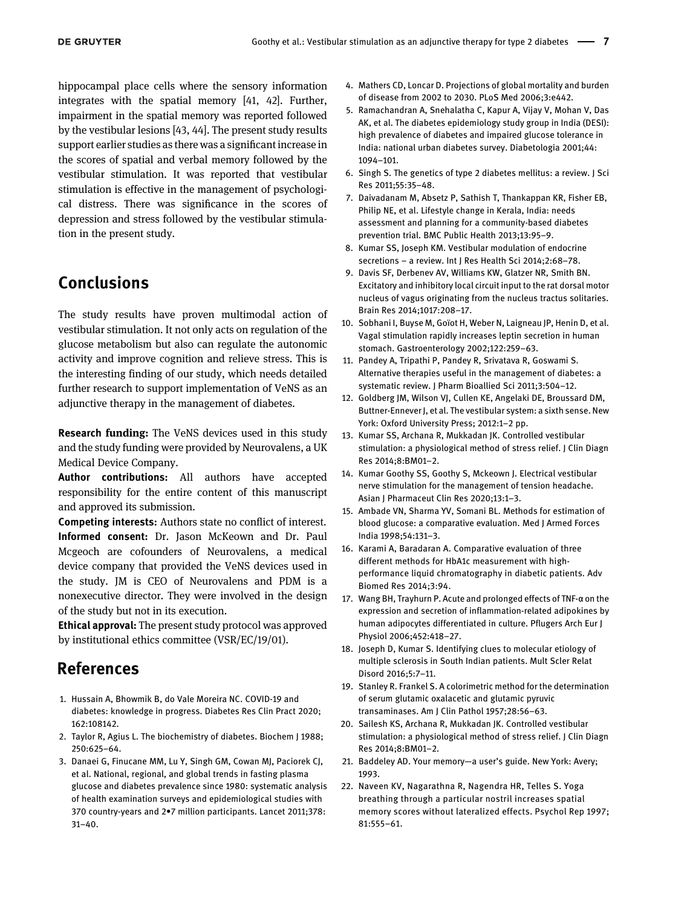hippocampal place cells where the sensory information integrates with the spatial memory [\[41, 42](#page-7-10)]. Further, impairment in the spatial memory was reported followed by the vestibular lesions [[43, 44](#page-7-11)]. The present study results support earlier studies as there was a significant increase in the scores of spatial and verbal memory followed by the vestibular stimulation. It was reported that vestibular stimulation is effective in the management of psychological distress. There was significance in the scores of depression and stress followed by the vestibular stimulation in the present study.

# Conclusions

The study results have proven multimodal action of vestibular stimulation. It not only acts on regulation of the glucose metabolism but also can regulate the autonomic activity and improve cognition and relieve stress. This is the interesting finding of our study, which needs detailed further research to support implementation of VeNS as an adjunctive therapy in the management of diabetes.

Research funding: The VeNS devices used in this study and the study funding were provided by Neurovalens, a UK Medical Device Company.

Author contributions: All authors have accepted responsibility for the entire content of this manuscript and approved its submission.

Competing interests: Authors state no conflict of interest. Informed consent: Dr. Jason McKeown and Dr. Paul Mcgeoch are cofounders of Neurovalens, a medical device company that provided the VeNS devices used in the study. JM is CEO of Neurovalens and PDM is a nonexecutive director. They were involved in the design of the study but not in its execution.

Ethical approval: The present study protocol was approved by institutional ethics committee (VSR/EC/19/01).

### References

- <span id="page-6-0"></span>1. Hussain A, Bhowmik B, do Vale Moreira NC. COVID-19 and diabetes: knowledge in progress. Diabetes Res Clin Pract 2020; 162:108142.
- <span id="page-6-2"></span><span id="page-6-1"></span>2. Taylor R, Agius L. The biochemistry of diabetes. Biochem J 1988; 250:625–64.
- 3. Danaei G, Finucane MM, Lu Y, Singh GM, Cowan MJ, Paciorek CJ, et al. National, regional, and global trends in fasting plasma glucose and diabetes prevalence since 1980: systematic analysis of health examination surveys and epidemiological studies with 370 country-years and 2•7 million participants. Lancet 2011;378: 31–40.
- 4. Mathers CD, Loncar D. Projections of global mortality and burden of disease from 2002 to 2030. PLoS Med 2006;3:e442.
- <span id="page-6-3"></span>5. Ramachandran A, Snehalatha C, Kapur A, Vijay V, Mohan V, Das AK, et al. The diabetes epidemiology study group in India (DESI): high prevalence of diabetes and impaired glucose tolerance in India: national urban diabetes survey. Diabetologia 2001;44: 1094–101.
- 6. Singh S. The genetics of type 2 diabetes mellitus: a review. J Sci Res 2011;55:35–48.
- <span id="page-6-4"></span>7. Daivadanam M, Absetz P, Sathish T, Thankappan KR, Fisher EB, Philip NE, et al. Lifestyle change in Kerala, India: needs assessment and planning for a community-based diabetes prevention trial. BMC Public Health 2013;13:95–9.
- <span id="page-6-5"></span>8. Kumar SS, Joseph KM. Vestibular modulation of endocrine secretions – a review. Int J Res Health Sci 2014;2:68–78.
- <span id="page-6-6"></span>9. Davis SF, Derbenev AV, Williams KW, Glatzer NR, Smith BN. Excitatory and inhibitory local circuit input to the rat dorsal motor nucleus of vagus originating from the nucleus tractus solitaries. Brain Res 2014;1017:208–17.
- <span id="page-6-7"></span>10. Sobhani I, Buyse M, Goïot H, Weber N, Laigneau JP, Henin D, et al. Vagal stimulation rapidly increases leptin secretion in human stomach. Gastroenterology 2002;122:259–63.
- <span id="page-6-8"></span>11. Pandey A, Tripathi P, Pandey R, Srivatava R, Goswami S. Alternative therapies useful in the management of diabetes: a systematic review. J Pharm Bioallied Sci 2011;3:504–12.
- <span id="page-6-9"></span>12. Goldberg JM, Wilson VJ, Cullen KE, Angelaki DE, Broussard DM, Buttner-Ennever J, et al. The vestibular system: a sixth sense. New York: Oxford University Press; 2012:1–2 pp.
- <span id="page-6-17"></span>13. Kumar SS, Archana R, Mukkadan JK. Controlled vestibular stimulation: a physiological method of stress relief. J Clin Diagn Res 2014;8:BM01–2.
- <span id="page-6-10"></span>14. Kumar Goothy SS, Goothy S, Mckeown J. Electrical vestibular nerve stimulation for the management of tension headache. Asian J Pharmaceut Clin Res 2020;13:1–3.
- <span id="page-6-11"></span>15. Ambade VN, Sharma YV, Somani BL. Methods for estimation of blood glucose: a comparative evaluation. Med J Armed Forces India 1998;54:131–3.
- <span id="page-6-12"></span>16. Karami A, Baradaran A. Comparative evaluation of three different methods for HbA1c measurement with highperformance liquid chromatography in diabetic patients. Adv Biomed Res 2014;3:94.
- <span id="page-6-13"></span>17. Wang BH, Trayhurn P. Acute and prolonged effects of TNF-α on the expression and secretion of inflammation-related adipokines by human adipocytes differentiated in culture. Pflugers Arch Eur J Physiol 2006;452:418–27.
- 18. Joseph D, Kumar S. Identifying clues to molecular etiology of multiple sclerosis in South Indian patients. Mult Scler Relat Disord 2016;5:7–11.
- <span id="page-6-14"></span>19. Stanley R. Frankel S. A colorimetric method for the determination of serum glutamic oxalacetic and glutamic pyruvic transaminases. Am J Clin Pathol 1957;28:56–63.
- <span id="page-6-15"></span>20. Sailesh KS, Archana R, Mukkadan JK. Controlled vestibular stimulation: a physiological method of stress relief. J Clin Diagn Res 2014;8:BM01–2.
- <span id="page-6-16"></span>21. Baddeley AD. Your memory—a user's guide. New York: Avery; 1993.
- 22. Naveen KV, Nagarathna R, Nagendra HR, Telles S. Yoga breathing through a particular nostril increases spatial memory scores without lateralized effects. Psychol Rep 1997; 81:555–61.